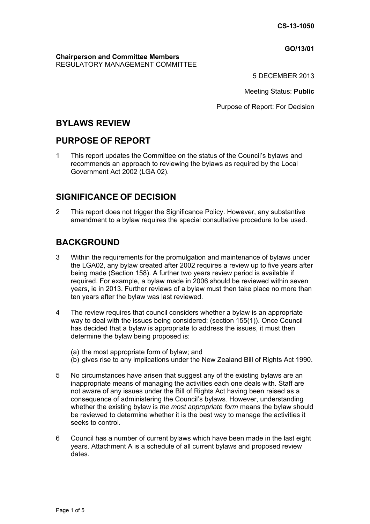**GO/13/01**

#### **Chairperson and Committee Members** REGULATORY MANAGEMENT COMMITTEE

5 DECEMBER 2013

Meeting Status: **Public**

Purpose of Report: For Decision

# **BYLAWS REVIEW**

## **PURPOSE OF REPORT**

1 This report updates the Committee on the status of the Council's bylaws and recommends an approach to reviewing the bylaws as required by the Local Government Act 2002 (LGA 02).

# **SIGNIFICANCE OF DECISION**

2 This report does not trigger the Significance Policy. However, any substantive amendment to a bylaw requires the special consultative procedure to be used.

# **BACKGROUND**

- 3 Within the requirements for the promulgation and maintenance of bylaws under the LGA02, any bylaw created after 2002 requires a review up to five years after being made (Section 158). A further two years review period is available if required. For example, a bylaw made in 2006 should be reviewed within seven years, ie in 2013. Further reviews of a bylaw must then take place no more than ten years after the bylaw was last reviewed.
- 4 The review requires that council considers whether a bylaw is an appropriate way to deal with the issues being considered; (section 155(1)). Once Council has decided that a bylaw is appropriate to address the issues, it must then determine the bylaw being proposed is:
	- (a) the most appropriate form of bylaw; and
	- (b) gives rise to any implications under the New Zealand Bill of Rights Act 1990.
- 5 No circumstances have arisen that suggest any of the existing bylaws are an inappropriate means of managing the activities each one deals with. Staff are not aware of any issues under the Bill of Rights Act having been raised as a consequence of administering the Council's bylaws. However, understanding whether the existing bylaw is *the most appropriate form* means the bylaw should be reviewed to determine whether it is the best way to manage the activities it seeks to control.
- 6 Council has a number of current bylaws which have been made in the last eight years. Attachment A is a schedule of all current bylaws and proposed review dates.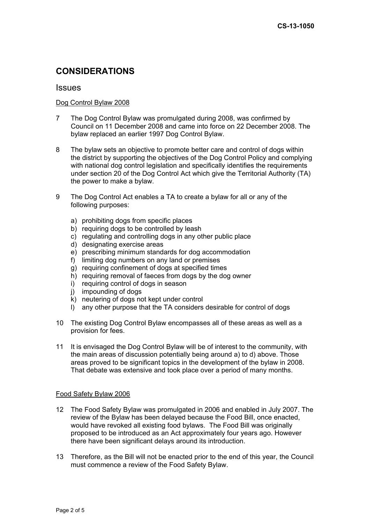# **CONSIDERATIONS**

#### **Issues**

#### Dog Control Bylaw 2008

- 7 The Dog Control Bylaw was promulgated during 2008, was confirmed by Council on 11 December 2008 and came into force on 22 December 2008. The bylaw replaced an earlier 1997 Dog Control Bylaw.
- 8 The bylaw sets an objective to promote better care and control of dogs within the district by supporting the objectives of the Dog Control Policy and complying with national dog control legislation and specifically identifies the requirements under section 20 of the Dog Control Act which give the Territorial Authority (TA) the power to make a bylaw.
- 9 The Dog Control Act enables a TA to create a bylaw for all or any of the following purposes:
	- a) prohibiting dogs from specific places
	- b) requiring dogs to be controlled by leash
	- c) regulating and controlling dogs in any other public place
	- d) designating exercise areas
	- e) prescribing minimum standards for dog accommodation
	- f) limiting dog numbers on any land or premises
	- g) requiring confinement of dogs at specified times
	- h) requiring removal of faeces from dogs by the dog owner
	- i) requiring control of dogs in season
	- j) impounding of dogs
	- k) neutering of dogs not kept under control
	- l) any other purpose that the TA considers desirable for control of dogs
- 10 The existing Dog Control Bylaw encompasses all of these areas as well as a provision for fees.
- 11 It is envisaged the Dog Control Bylaw will be of interest to the community, with the main areas of discussion potentially being around a) to d) above. Those areas proved to be significant topics in the development of the bylaw in 2008. That debate was extensive and took place over a period of many months.

#### Food Safety Bylaw 2006

- 12 The Food Safety Bylaw was promulgated in 2006 and enabled in July 2007. The review of the Bylaw has been delayed because the Food Bill, once enacted, would have revoked all existing food bylaws. The Food Bill was originally proposed to be introduced as an Act approximately four years ago. However there have been significant delays around its introduction.
- 13 Therefore, as the Bill will not be enacted prior to the end of this year, the Council must commence a review of the Food Safety Bylaw.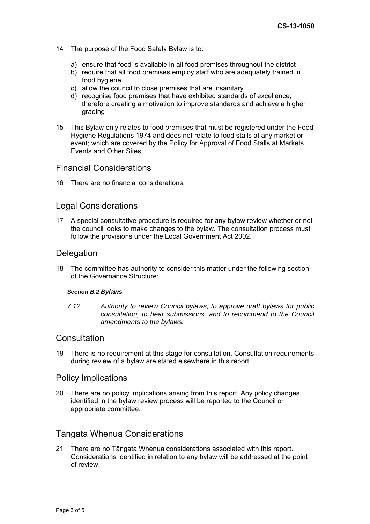- 14 The purpose of the Food Safety Bylaw is to:
	- a) ensure that food is available in all food premises throughout the district
	- b) require that all food premises employ staff who are adequately trained in food hygiene
	- c) allow the council to close premises that are insanitary
	- d) recognise food premises that have exhibited standards of excellence; therefore creating a motivation to improve standards and achieve a higher grading
- 15 This Bylaw only relates to food premises that must be registered under the Food Hygiene Regulations 1974 and does not relate to food stalls at any market or event; which are covered by the Policy for Approval of Food Stalls at Markets, Events and Other Sites.

## Financial Considerations

16 There are no financial considerations.

### Legal Considerations

17 A special consultative procedure is required for any bylaw review whether or not the council looks to make changes to the bylaw. The consultation process must follow the provisions under the Local Government Act 2002.

#### **Delegation**

18 The committee has authority to consider this matter under the following section of the Governance Structure:

#### *Section B.2 Bylaws*

*7.12 Authority to review Council bylaws, to approve draft bylaws for public consultation, to hear submissions, and to recommend to the Council amendments to the bylaws.* 

### **Consultation**

19 There is no requirement at this stage for consultation. Consultation requirements during review of a bylaw are stated elsewhere in this report.

#### Policy Implications

20 There are no policy implications arising from this report. Any policy changes identified in the bylaw review process will be reported to the Council or appropriate committee.

## Tāngata Whenua Considerations

21 There are no Tāngata Whenua considerations associated with this report. Considerations identified in relation to any bylaw will be addressed at the point of review.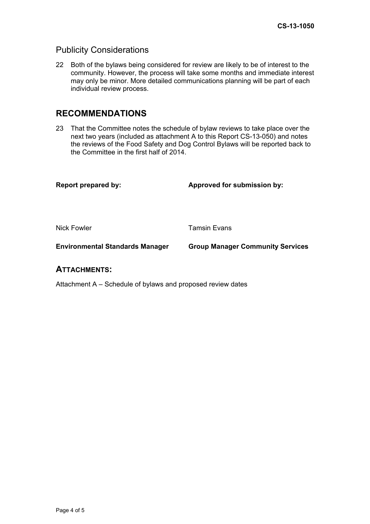## Publicity Considerations

22 Both of the bylaws being considered for review are likely to be of interest to the community. However, the process will take some months and immediate interest may only be minor. More detailed communications planning will be part of each individual review process.

# **RECOMMENDATIONS**

23 That the Committee notes the schedule of bylaw reviews to take place over the next two years (included as attachment A to this Report CS-13-050) and notes the reviews of the Food Safety and Dog Control Bylaws will be reported back to the Committee in the first half of 2014.

| <b>Report prepared by:</b>             | Approved for submission by:             |  |  |
|----------------------------------------|-----------------------------------------|--|--|
|                                        |                                         |  |  |
| Nick Fowler                            | <b>Tamsin Evans</b>                     |  |  |
| <b>Environmental Standards Manager</b> | <b>Group Manager Community Services</b> |  |  |

#### **ATTACHMENTS:**

Attachment A – Schedule of bylaws and proposed review dates